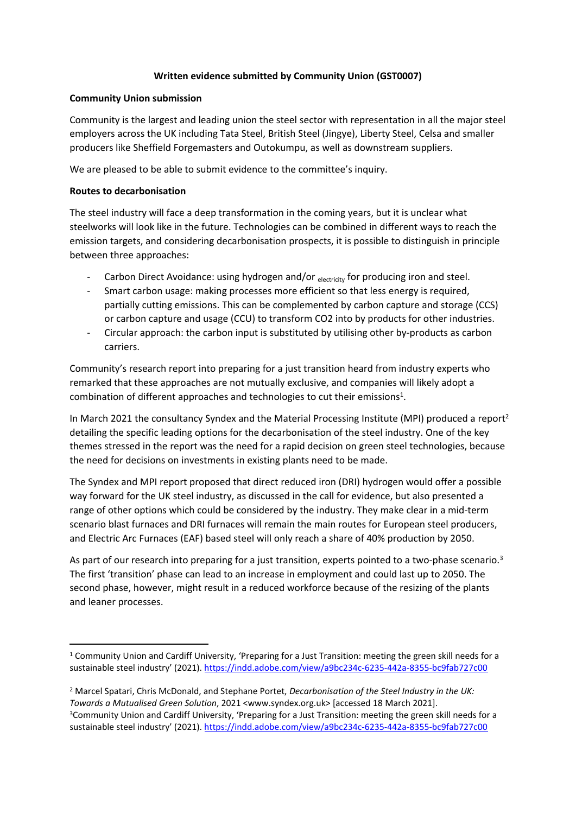# **Written evidence submitted by Community Union (GST0007)**

#### **Community Union submission**

Community is the largest and leading union the steel sector with representation in all the major steel employers across the UK including Tata Steel, British Steel (Jingye), Liberty Steel, Celsa and smaller producers like Sheffield Forgemasters and Outokumpu, as well as downstream suppliers.

We are pleased to be able to submit evidence to the committee's inquiry.

### **Routes to decarbonisation**

The steel industry will face a deep transformation in the coming years, but it is unclear what steelworks will look like in the future. Technologies can be combined in different ways to reach the emission targets, and considering decarbonisation prospects, it is possible to distinguish in principle between three approaches:

- Carbon Direct Avoidance: using hydrogen and/or electricity for producing iron and steel.
- Smart carbon usage: making processes more efficient so that less energy is required, partially cutting emissions. This can be complemented by carbon capture and storage (CCS) or carbon capture and usage (CCU) to transform CO2 into by products for other industries.
- Circular approach: the carbon input is substituted by utilising other by-products as carbon carriers.

Community's research report into preparing for a just transition heard from industry experts who remarked that these approaches are not mutually exclusive, and companies will likely adopt a combination of different approaches and technologies to cut their emissions<sup>1</sup>.

In March 2021 the consultancy Syndex and the Material Processing Institute (MPI) produced a report<sup>2</sup> detailing the specific leading options for the decarbonisation of the steel industry. One of the key themes stressed in the report was the need for a rapid decision on green steel technologies, because the need for decisions on investments in existing plants need to be made.

The Syndex and MPI report proposed that direct reduced iron (DRI) hydrogen would offer a possible way forward for the UK steel industry, as discussed in the call for evidence, but also presented a range of other options which could be considered by the industry. They make clear in a mid-term scenario blast furnaces and DRI furnaces will remain the main routes for European steel producers, and Electric Arc Furnaces (EAF) based steel will only reach a share of 40% production by 2050.

As part of our research into preparing for a just transition, experts pointed to a two-phase scenario.<sup>3</sup> The first 'transition' phase can lead to an increase in employment and could last up to 2050. The second phase, however, might result in a reduced workforce because of the resizing of the plants and leaner processes.

<sup>1</sup> Community Union and Cardiff University, 'Preparing for a Just Transition: meeting the green skill needs for a sustainable steel industry' (2021). <https://indd.adobe.com/view/a9bc234c-6235-442a-8355-bc9fab727c00>

<sup>2</sup> Marcel Spatari, Chris McDonald, and Stephane Portet, *Decarbonisation of the Steel Industry in the UK: Towards a Mutualised Green Solution*, 2021 <www.syndex.org.uk> [accessed 18 March 2021]. <sup>3</sup>Community Union and Cardiff University, 'Preparing for a Just Transition: meeting the green skill needs for a sustainable steel industry' (2021). <https://indd.adobe.com/view/a9bc234c-6235-442a-8355-bc9fab727c00>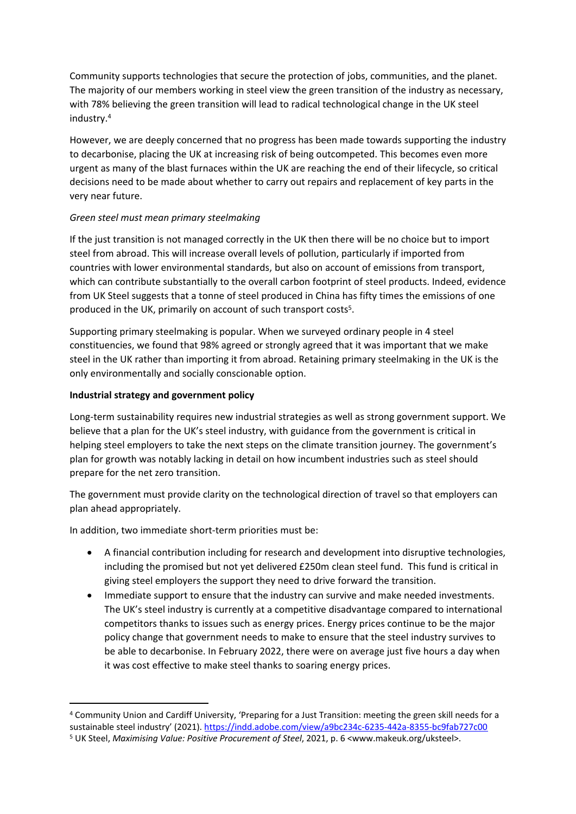Community supports technologies that secure the protection of jobs, communities, and the planet. The majority of our members working in steel view the green transition of the industry as necessary, with 78% believing the green transition will lead to radical technological change in the UK steel industry.<sup>4</sup>

However, we are deeply concerned that no progress has been made towards supporting the industry to decarbonise, placing the UK at increasing risk of being outcompeted. This becomes even more urgent as many of the blast furnaces within the UK are reaching the end of their lifecycle, so critical decisions need to be made about whether to carry out repairs and replacement of key parts in the very near future.

# *Green steel must mean primary steelmaking*

If the just transition is not managed correctly in the UK then there will be no choice but to import steel from abroad. This will increase overall levels of pollution, particularly if imported from countries with lower environmental standards, but also on account of emissions from transport, which can contribute substantially to the overall carbon footprint of steel products. Indeed, evidence from UK Steel suggests that a tonne of steel produced in China has fifty times the emissions of one produced in the UK, primarily on account of such transport costs<sup>5</sup>.

Supporting primary steelmaking is popular. When we surveyed ordinary people in 4 steel constituencies, we found that 98% agreed or strongly agreed that it was important that we make steel in the UK rather than importing it from abroad. Retaining primary steelmaking in the UK is the only environmentally and socially conscionable option.

### **Industrial strategy and government policy**

Long-term sustainability requires new industrial strategies as well as strong government support. We believe that a plan for the UK's steel industry, with guidance from the government is critical in helping steel employers to take the next steps on the climate transition journey. The government's plan for growth was notably lacking in detail on how incumbent industries such as steel should prepare for the net zero transition.

The government must provide clarity on the technological direction of travel so that employers can plan ahead appropriately.

In addition, two immediate short-term priorities must be:

- A financial contribution including for research and development into disruptive technologies, including the promised but not yet delivered £250m clean steel fund. This fund is critical in giving steel employers the support they need to drive forward the transition.
- Immediate support to ensure that the industry can survive and make needed investments. The UK's steel industry is currently at a competitive disadvantage compared to international competitors thanks to issues such as energy prices. Energy prices continue to be the major policy change that government needs to make to ensure that the steel industry survives to be able to decarbonise. In February 2022, there were on average just five hours a day when it was cost effective to make steel thanks to soaring energy prices.

<sup>4</sup> Community Union and Cardiff University, 'Preparing for a Just Transition: meeting the green skill needs for a sustainable steel industry' (2021). <https://indd.adobe.com/view/a9bc234c-6235-442a-8355-bc9fab727c00>

<sup>5</sup> UK Steel, *Maximising Value: Positive Procurement of Steel*, 2021, p. 6 <www.makeuk.org/uksteel>.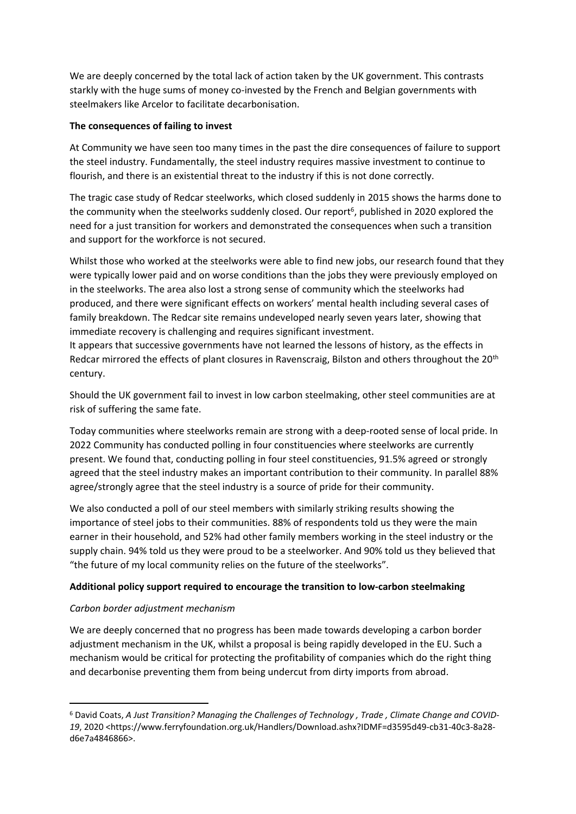We are deeply concerned by the total lack of action taken by the UK government. This contrasts starkly with the huge sums of money co-invested by the French and Belgian governments with steelmakers like Arcelor to facilitate decarbonisation.

### **The consequences of failing to invest**

At Community we have seen too many times in the past the dire consequences of failure to support the steel industry. Fundamentally, the steel industry requires massive investment to continue to flourish, and there is an existential threat to the industry if this is not done correctly.

The tragic case study of Redcar steelworks, which closed suddenly in 2015 shows the harms done to the community when the steelworks suddenly closed. Our report<sup>6</sup>, published in 2020 explored the need for a just transition for workers and demonstrated the consequences when such a transition and support for the workforce is not secured.

Whilst those who worked at the steelworks were able to find new jobs, our research found that they were typically lower paid and on worse conditions than the jobs they were previously employed on in the steelworks. The area also lost a strong sense of community which the steelworks had produced, and there were significant effects on workers' mental health including several cases of family breakdown. The Redcar site remains undeveloped nearly seven years later, showing that immediate recovery is challenging and requires significant investment.

It appears that successive governments have not learned the lessons of history, as the effects in Redcar mirrored the effects of plant closures in Ravenscraig, Bilston and others throughout the 20th century.

Should the UK government fail to invest in low carbon steelmaking, other steel communities are at risk of suffering the same fate.

Today communities where steelworks remain are strong with a deep-rooted sense of local pride. In 2022 Community has conducted polling in four constituencies where steelworks are currently present. We found that, conducting polling in four steel constituencies, 91.5% agreed or strongly agreed that the steel industry makes an important contribution to their community. In parallel 88% agree/strongly agree that the steel industry is a source of pride for their community.

We also conducted a poll of our steel members with similarly striking results showing the importance of steel jobs to their communities. 88% of respondents told us they were the main earner in their household, and 52% had other family members working in the steel industry or the supply chain. 94% told us they were proud to be a steelworker. And 90% told us they believed that "the future of my local community relies on the future of the steelworks".

# **Additional policy support required to encourage the transition to low-carbon steelmaking**

# *Carbon border adjustment mechanism*

We are deeply concerned that no progress has been made towards developing a carbon border adjustment mechanism in the UK, whilst a proposal is being rapidly developed in the EU. Such a mechanism would be critical for protecting the profitability of companies which do the right thing and decarbonise preventing them from being undercut from dirty imports from abroad.

<sup>6</sup> David Coats, *A Just Transition? Managing the Challenges of Technology , Trade , Climate Change and COVID-19*, 2020 <https://www.ferryfoundation.org.uk/Handlers/Download.ashx?IDMF=d3595d49-cb31-40c3-8a28 d6e7a4846866>.